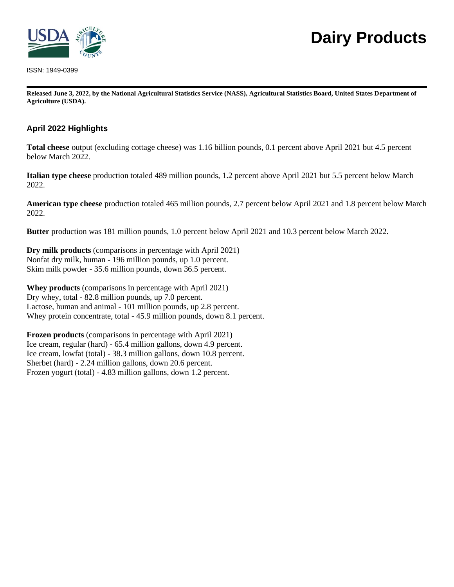

ISSN: 1949-0399

# **Dairy Products**

**Released June 3, 2022, by the National Agricultural Statistics Service (NASS), Agricultural Statistics Board, United States Department of Agriculture (USDA).**

## **April 2022 Highlights**

**Total cheese** output (excluding cottage cheese) was 1.16 billion pounds, 0.1 percent above April 2021 but 4.5 percent below March 2022.

**Italian type cheese** production totaled 489 million pounds, 1.2 percent above April 2021 but 5.5 percent below March 2022.

**American type cheese** production totaled 465 million pounds, 2.7 percent below April 2021 and 1.8 percent below March 2022.

**Butter** production was 181 million pounds, 1.0 percent below April 2021 and 10.3 percent below March 2022.

**Dry milk products** (comparisons in percentage with April 2021) Nonfat dry milk, human - 196 million pounds, up 1.0 percent. Skim milk powder - 35.6 million pounds, down 36.5 percent.

**Whey products** (comparisons in percentage with April 2021) Dry whey, total - 82.8 million pounds, up 7.0 percent. Lactose, human and animal - 101 million pounds, up 2.8 percent. Whey protein concentrate, total - 45.9 million pounds, down 8.1 percent.

**Frozen products** (comparisons in percentage with April 2021) Ice cream, regular (hard) - 65.4 million gallons, down 4.9 percent. Ice cream, lowfat (total) - 38.3 million gallons, down 10.8 percent. Sherbet (hard) - 2.24 million gallons, down 20.6 percent. Frozen yogurt (total) - 4.83 million gallons, down 1.2 percent.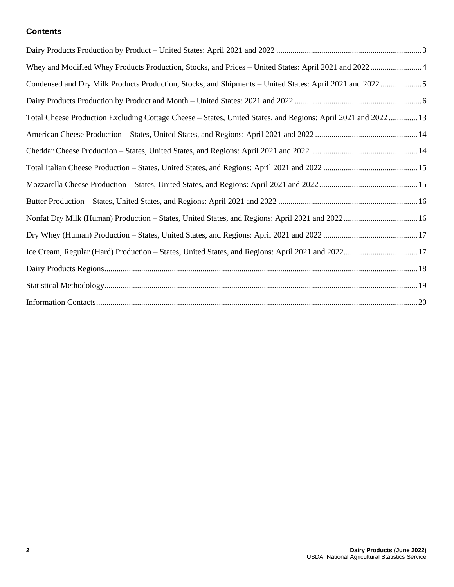#### **Contents**

| Whey and Modified Whey Products Production, Stocks, and Prices - United States: April 2021 and 2022 4          |  |
|----------------------------------------------------------------------------------------------------------------|--|
| Condensed and Dry Milk Products Production, Stocks, and Shipments - United States: April 2021 and 2022 5       |  |
|                                                                                                                |  |
| Total Cheese Production Excluding Cottage Cheese - States, United States, and Regions: April 2021 and 2022  13 |  |
|                                                                                                                |  |
|                                                                                                                |  |
|                                                                                                                |  |
|                                                                                                                |  |
|                                                                                                                |  |
| Nonfat Dry Milk (Human) Production - States, United States, and Regions: April 2021 and 2022 16                |  |
|                                                                                                                |  |
| Ice Cream, Regular (Hard) Production - States, United States, and Regions: April 2021 and 202217               |  |
|                                                                                                                |  |
|                                                                                                                |  |
|                                                                                                                |  |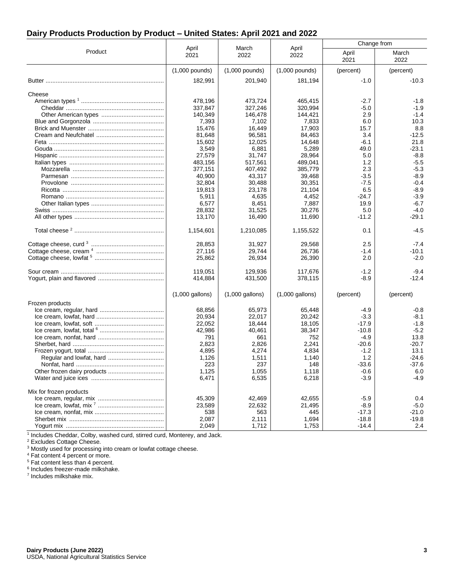## **Dairy Products Production by Product – United States: April 2021 and 2022**

|                          | Change from       |                   | March             |                   |                   |
|--------------------------|-------------------|-------------------|-------------------|-------------------|-------------------|
| Product                  | April<br>2021     | 2022              | April<br>2022     | April<br>2021     | March<br>2022     |
|                          | $(1,000$ pounds)  | $(1,000$ pounds)  | $(1,000$ pounds)  | (percent)         | (percent)         |
|                          | 182,991           | 201,940           | 181,194           | $-1.0$            | $-10.3$           |
| Cheese                   |                   |                   |                   |                   |                   |
|                          | 478,196           | 473,724           | 465,415           | $-2.7$            | $-1.8$            |
|                          | 337,847           | 327,246           | 320,994           | $-5.0$            | $-1.9$            |
|                          | 140,349           | 146,478           | 144,421           | 2.9               | $-1.4$            |
|                          | 7,393             | 7,102             | 7,833             | 6.0               | 10.3              |
|                          | 15,476            | 16,449            | 17,903            | 15.7              | 8.8               |
|                          | 81,648            | 96,581            | 84,463            | 3.4               | $-12.5$           |
|                          | 15,602            | 12,025            | 14,648            | -6.1              | 21.8              |
|                          | 3,549<br>27,579   | 6,881<br>31,747   | 5,289<br>28,964   | 49.0<br>5.0       | $-23.1$<br>$-8.8$ |
|                          | 483,156           | 517,561           | 489,041           | 1.2               | $-5.5$            |
|                          | 377,151           | 407,492           | 385,779           | 2.3               | $-5.3$            |
|                          | 40,900            | 43,317            | 39,468            | $-3.5$            | $-8.9$            |
|                          | 32,804            | 30,488            | 30,351            | $-7.5$            | $-0.4$            |
|                          | 19,813            | 23,178            | 21,104            | 6.5               | $-8.9$            |
|                          | 5,911             | 4,635             | 4,452             | $-24.7$           | $-3.9$            |
|                          | 6,577             | 8,451             | 7,887             | 19.9              | $-6.7$            |
|                          | 28.832            | 31,525            | 30.276            | 5.0               | $-4.0$            |
|                          | 13,170            | 16,490            | 11,690            | $-11.2$           | -29.1             |
|                          | 1,154,601         | 1,210,085         | 1,155,522         | 0.1               | $-4.5$            |
|                          | 28,853            | 31,927            | 29,568            | 2.5               | $-7.4$            |
|                          | 27,116            | 29,744            | 26,736            | $-1.4$            | -10.1             |
|                          | 25,862            | 26,934            | 26,390            | 2.0               | $-2.0$            |
|                          | 119,051           | 129,936           | 117,676           | -1.2              | $-9.4$            |
|                          | 414,884           | 431,500           | 378,115           | $-8.9$            | $-12.4$           |
|                          | $(1,000$ gallons) | $(1,000$ gallons) | $(1,000$ gallons) | (percent)         | (percent)         |
| Frozen products          |                   |                   |                   |                   |                   |
|                          | 68,856            | 65,973            | 65,448            | -4.9              | $-0.8$            |
|                          | 20,934            | 22,017            | 20,242            | $-3.3$            | $-8.1$            |
|                          | 22,052            | 18,444            | 18,105            | $-17.9$           | $-1.8$            |
|                          | 42,986            | 40,461            | 38,347            | $-10.8$           | $-5.2$            |
|                          | 791<br>2,823      | 661<br>2,826      | 752<br>2,241      | $-4.9$<br>$-20.6$ | 13.8<br>$-20.7$   |
|                          | 4,895             | 4,274             | 4,834             | $-1.2$            | 13.1              |
| Regular and lowfat, hard | 1,126             | 1,511             | 1,140             | 1.2               | -24.6             |
|                          | 223               | 237               | 148               | -33.6             | $-37.6$           |
|                          | 1,125             | 1,055             | 1,118             | $-0.6$            | 6.0               |
|                          | 6,471             | 6,535             | 6,218             | $-3.9$            | $-4.9$            |
| Mix for frozen products  |                   |                   |                   |                   |                   |
|                          | 45,309            | 42,469            | 42,655            | $-5.9$            | 0.4               |
|                          | 23,589            | 22,632            | 21,495            | $-8.9$            | $-5.0$            |
|                          | 538               | 563               | 445               | $-17.3$           | $-21.0$           |
|                          | 2,087             | 2,111             | 1,694             | $-18.8$           | $-19.8$           |
|                          | 2,049             | 1,712             | 1,753             | $-14.4$           | 2.4               |

<sup>1</sup> Includes Cheddar, Colby, washed curd, stirred curd, Monterey, and Jack.

<sup>2</sup> Excludes Cottage Cheese.

<sup>3</sup> Mostly used for processing into cream or lowfat cottage cheese.

<sup>4</sup> Fat content 4 percent or more.

<sup>5</sup> Fat content less than 4 percent.

6 Includes freezer-made milkshake.

7 Includes milkshake mix.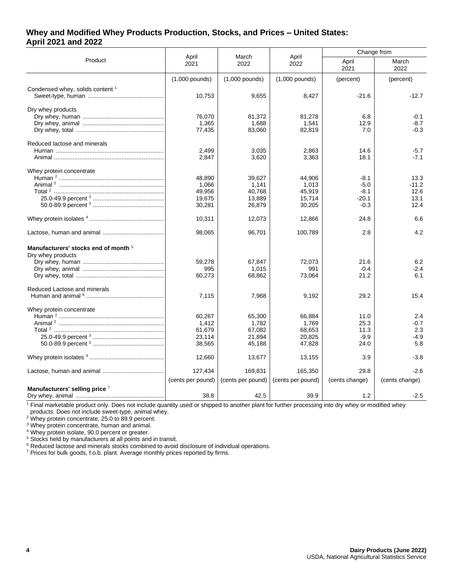#### **Whey and Modified Whey Products Production, Stocks, and Prices – United States: April 2021 and 2022**

|                                                                      | April<br>March<br>April                       |                                               |                                               |                                                 | Change from                             |
|----------------------------------------------------------------------|-----------------------------------------------|-----------------------------------------------|-----------------------------------------------|-------------------------------------------------|-----------------------------------------|
| Product                                                              | 2021                                          | 2022                                          | 2022                                          | April<br>2021                                   | March<br>2022                           |
|                                                                      | $(1,000$ pounds)                              | $(1,000$ pounds)                              | $(1,000$ pounds)                              | (percent)                                       | (percent)                               |
| Condensed whey, solids content <sup>1</sup>                          | 10,753                                        | 9,655                                         | 8,427                                         | $-21.6$                                         | $-12.7$                                 |
| Dry whey products                                                    | 76,070<br>1,365<br>77,435                     | 81,372<br>1,688<br>83,060                     | 81,278<br>1,541<br>82,819                     | 6.8<br>12.9<br>7.0                              | $-0.1$<br>$-8.7$<br>$-0.3$              |
| Reduced lactose and minerals                                         | 2.499<br>2,847                                | 3,035<br>3,620                                | 2,863<br>3,363                                | 14.6<br>18.1                                    | $-5.7$<br>$-7.1$                        |
| Whey protein concentrate                                             | 48.890<br>1,066<br>49,956<br>19,675<br>30,281 | 39.627<br>1,141<br>40,768<br>13,889<br>26,879 | 44,906<br>1,013<br>45,919<br>15,714<br>30,205 | $-8.1$<br>$-5.0$<br>$-8.1$<br>$-20.1$<br>$-0.3$ | 13.3<br>$-11.2$<br>12.6<br>13.1<br>12.4 |
|                                                                      | 10,311                                        | 12,073                                        | 12,866                                        | 24.8                                            | 6.6                                     |
|                                                                      | 98,065                                        | 96,701                                        | 100,789                                       | 2.8                                             | 4.2                                     |
| Manufacturers' stocks end of month <sup>5</sup><br>Dry whey products | 59,278<br>995<br>60,273                       | 67,847<br>1,015<br>68,862                     | 72,073<br>991<br>73,064                       | 21.6<br>$-0.4$<br>21.2                          | 6.2<br>$-2.4$<br>6.1                    |
| Reduced Lactose and minerals                                         | 7,115                                         | 7,968                                         | 9,192                                         | 29.2                                            | 15.4                                    |
| Whey protein concentrate                                             | 60,267<br>1.412<br>61,679<br>23,114<br>38,565 | 65,300<br>1.782<br>67,082<br>21,894<br>45,188 | 66,884<br>1.769<br>68,653<br>20,825<br>47,828 | 11.0<br>25.3<br>11.3<br>$-9.9$<br>24.0          | 2.4<br>$-0.7$<br>2.3<br>$-4.9$<br>5.8   |
|                                                                      | 12,660                                        | 13,677                                        | 13,155                                        | 3.9                                             | $-3.8$                                  |
|                                                                      | 127,434<br>(cents per pound)                  | 169,831<br>(cents per pound)                  | 165,350<br>(cents per pound)                  | 29.8<br>(cents change)                          | $-2.6$<br>(cents change)                |
| Manufacturers' selling price 7                                       | 38.8                                          | 42.5                                          | 39.9                                          | 1.2                                             | $-2.5$                                  |

<sup>1</sup> Final marketable product only. Does not include quantity used or shipped to another plant for further processing into dry whey or modified whey products. Does not include sweet-type, animal whey.

 $2$  Whey protein concentrate, 25.0 to 89.9 percent.

<sup>3</sup> Whey protein concentrate, human and animal.

<sup>4</sup> Whey protein isolate, 90.0 percent or greater.

<sup>5</sup> Stocks held by manufacturers at all points and in transit.

<sup>6</sup> Reduced lactose and minerals stocks combined to avoid disclosure of individual operations.

<sup>7</sup> Prices for bulk goods, f.o.b. plant. Average monthly prices reported by firms.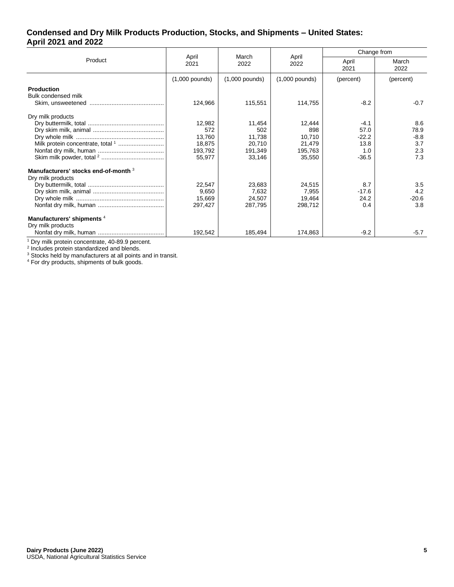#### **Condensed and Dry Milk Products Production, Stocks, and Shipments – United States: April 2021 and 2022**

|                                                            | March                       |                             |                             | Change from            |                      |  |
|------------------------------------------------------------|-----------------------------|-----------------------------|-----------------------------|------------------------|----------------------|--|
| Product                                                    | April<br>2021               | 2022                        | April<br>2022               | April<br>2021          | March<br>2022        |  |
|                                                            | $(1,000$ pounds)            | $(1,000$ pounds)            | $(1,000$ pounds)            | (percent)              | (percent)            |  |
| <b>Production</b><br>Bulk condensed milk                   | 124,966                     | 115,551                     | 114,755                     | $-8.2$                 | $-0.7$               |  |
| Dry milk products                                          |                             |                             |                             |                        |                      |  |
|                                                            | 12,982<br>572               | 11,454<br>502               | 12,444<br>898               | $-4.1$<br>57.0         | 8.6<br>78.9          |  |
|                                                            | 13,760<br>18,875<br>193,792 | 11,738<br>20,710<br>191,349 | 10.710<br>21,479<br>195,763 | $-22.2$<br>13.8<br>1.0 | $-8.8$<br>3.7<br>2.3 |  |
|                                                            | 55,977                      | 33,146                      | 35,550                      | $-36.5$                | 7.3                  |  |
| Manufacturers' stocks end-of-month 3                       |                             |                             |                             |                        |                      |  |
| Dry milk products                                          | 22,547<br>9,650             | 23,683<br>7,632             | 24,515<br>7,955             | 8.7<br>$-17.6$         | 3.5<br>4.2           |  |
|                                                            | 15,669<br>297,427           | 24,507<br>287,795           | 19,464<br>298,712           | 24.2<br>0.4            | $-20.6$<br>3.8       |  |
| Manufacturers' shipments <sup>4</sup><br>Dry milk products |                             |                             |                             |                        |                      |  |
|                                                            | 192,542                     | 185,494                     | 174.863                     | $-9.2$                 | $-5.7$               |  |

<sup>1</sup> Dry milk protein concentrate, 40-89.9 percent.<br><sup>2</sup> Includes protein standardized and blends.

 $3$  Stocks held by manufacturers at all points and in transit.

<sup>4</sup> For dry products, shipments of bulk goods.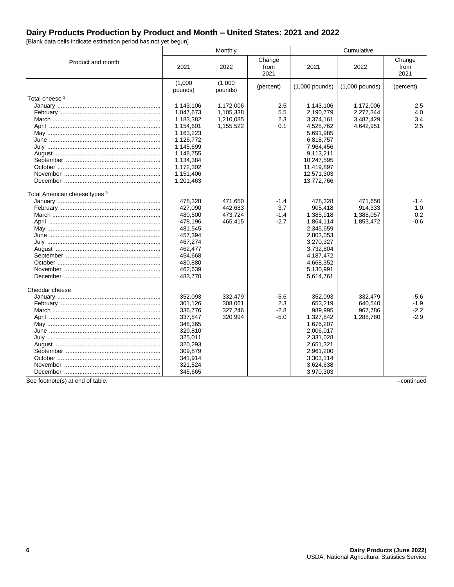# **Dairy Products Production by Product and Month – United States: 2021 and 2022**

[Blank data cells indicate estimation period has not yet begun]

|                                          | Monthly<br>Cumulative |                    |                        |                  |                  |                        |
|------------------------------------------|-----------------------|--------------------|------------------------|------------------|------------------|------------------------|
| Product and month                        | 2021                  | 2022               | Change<br>from<br>2021 | 2021             | 2022             | Change<br>from<br>2021 |
|                                          | (1,000)<br>pounds)    | (1,000)<br>pounds) | (percent)              | $(1,000$ pounds) | $(1,000$ pounds) | (percent)              |
| Total cheese <sup>1</sup>                |                       |                    |                        |                  |                  |                        |
|                                          | 1,143,106             | 1,172,006          | 2.5                    | 1,143,106        | 1,172,006        | $2.5\,$                |
|                                          | 1,047,673             | 1,105,338          | 5.5                    | 2,190,779        | 2,277,344        | 4.0                    |
|                                          | 1,183,382             | 1.210.085          | 2.3                    | 3,374,161        | 3,487,429        | 3.4                    |
|                                          | 1,154,601             | 1,155,522          | 0.1                    | 4,528,762        | 4,642,951        | 2.5                    |
|                                          | 1,163,223             |                    |                        | 5,691,985        |                  |                        |
|                                          | 1,126,772             |                    |                        | 6,818,757        |                  |                        |
| July ……………………………………………………………             | 1,145,699             |                    |                        | 7,964,456        |                  |                        |
|                                          | 1,148,755             |                    |                        | 9,113,211        |                  |                        |
|                                          | 1,134,384             |                    |                        | 10,247,595       |                  |                        |
|                                          | 1,172,302             |                    |                        | 11,419,897       |                  |                        |
|                                          | 1,151,406             |                    |                        | 12,571,303       |                  |                        |
|                                          | 1,201,463             |                    |                        | 13,772,766       |                  |                        |
| Total American cheese types <sup>2</sup> |                       |                    |                        |                  |                  |                        |
|                                          | 478,328               | 471,650            | $-1.4$                 | 478,328          | 471.650          | $-1.4$                 |
|                                          | 427,090               | 442,683            | 3.7                    | 905,418          | 914,333          | 1.0                    |
|                                          | 480,500               | 473,724            | $-1.4$                 | 1,385,918        | 1,388,057        | 0.2                    |
|                                          | 478,196               | 465,415            | $-2.7$                 | 1,864,114        | 1,853,472        | $-0.6$                 |
|                                          | 481,545               |                    |                        | 2,345,659        |                  |                        |
|                                          | 457,394               |                    |                        | 2,803,053        |                  |                        |
| July ……………………………………………………………             | 467,274               |                    |                        | 3,270,327        |                  |                        |
|                                          | 462,477               |                    |                        | 3,732,804        |                  |                        |
|                                          | 454,668               |                    |                        | 4,187,472        |                  |                        |
|                                          | 480,880               |                    |                        | 4,668,352        |                  |                        |
|                                          | 462,639               |                    |                        | 5,130,991        |                  |                        |
|                                          | 483,770               |                    |                        | 5,614,761        |                  |                        |
| Cheddar cheese                           |                       |                    |                        |                  |                  |                        |
|                                          | 352,093               | 332,479            | $-5.6$                 | 352,093          | 332,479          | -5.6                   |
|                                          | 301,126               | 308.061            | 2.3                    | 653,219          | 640.540          | $-1.9$                 |
|                                          | 336,776               | 327,246            | $-2.8$                 | 989,995          | 967,786          | $-2.2$                 |
|                                          | 337,847               | 320,994            | $-5.0$                 | 1,327,842        | 1,288,780        | $-2.9$                 |
|                                          | 348,365               |                    |                        | 1,676,207        |                  |                        |
|                                          | 329,810               |                    |                        | 2,006,017        |                  |                        |
| July ……………………………………………………………             | 325,011               |                    |                        | 2,331,028        |                  |                        |
|                                          | 320.293               |                    |                        | 2,651,321        |                  |                        |
|                                          | 309,879               |                    |                        | 2,961,200        |                  |                        |
|                                          | 341,914               |                    |                        | 3,303,114        |                  |                        |
|                                          | 321,524               |                    |                        | 3,624,638        |                  |                        |
|                                          | 345,665               |                    |                        | 3,970,303        |                  |                        |

See footnote(s) at end of table. ---continued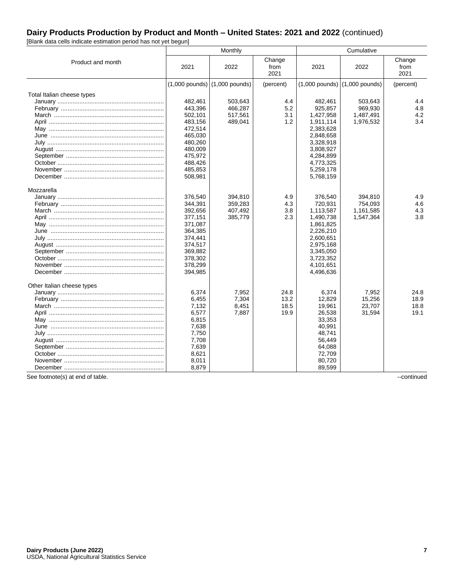[Blank data cells indicate estimation period has not yet begun]

|                            | Cumulative<br>Monthly |                                   |                        |                        |                                   |                        |
|----------------------------|-----------------------|-----------------------------------|------------------------|------------------------|-----------------------------------|------------------------|
| Product and month          | 2021                  | 2022                              | Change<br>from<br>2021 | 2021                   | 2022                              | Change<br>from<br>2021 |
|                            |                       | $(1,000$ pounds) $(1,000$ pounds) | (percent)              |                        | $(1,000$ pounds) $(1,000$ pounds) | (percent)              |
| Total Italian cheese types |                       |                                   |                        |                        |                                   |                        |
|                            | 482,461               | 503,643                           | 4.4                    | 482,461                | 503,643                           | 4.4                    |
|                            | 443,396               | 466,287                           | 5.2                    | 925,857                | 969,930                           | 4.8                    |
|                            | 502,101               | 517,561                           | 3.1                    | 1,427,958              | 1,487,491                         | 4.2                    |
|                            | 483,156               | 489,041                           | 1.2                    | 1,911,114              | 1,976,532                         | 3.4                    |
|                            | 472,514               |                                   |                        | 2,383,628              |                                   |                        |
|                            | 465,030               |                                   |                        | 2,848,658              |                                   |                        |
|                            | 480,260               |                                   |                        | 3,328,918              |                                   |                        |
|                            | 480,009               |                                   |                        | 3,808,927              |                                   |                        |
|                            | 475,972<br>488,426    |                                   |                        | 4,284,899<br>4,773,325 |                                   |                        |
|                            | 485,853               |                                   |                        | 5,259,178              |                                   |                        |
|                            | 508,981               |                                   |                        | 5,768,159              |                                   |                        |
| Mozzarella                 |                       |                                   |                        |                        |                                   |                        |
|                            | 376,540               | 394,810                           | 4.9                    | 376,540                | 394,810                           | 4.9                    |
|                            | 344,391               | 359,283                           | 4.3                    | 720,931                | 754,093                           | 4.6                    |
|                            | 392,656               | 407,492                           | 3.8                    | 1,113,587              | 1,161,585                         | 4.3                    |
|                            | 377,151               | 385,779                           | 2.3                    | 1,490,738              | 1,547,364                         | 3.8                    |
|                            | 371,087               |                                   |                        | 1,861,825              |                                   |                        |
|                            | 364,385               |                                   |                        | 2,226,210              |                                   |                        |
|                            | 374,441               |                                   |                        | 2,600,651              |                                   |                        |
|                            | 374,517               |                                   |                        | 2,975,168              |                                   |                        |
|                            | 369,882               |                                   |                        | 3,345,050              |                                   |                        |
|                            | 378,302               |                                   |                        | 3,723,352              |                                   |                        |
|                            | 378,299               |                                   |                        | 4,101,651              |                                   |                        |
|                            | 394,985               |                                   |                        | 4,496,636              |                                   |                        |
| Other Italian cheese types |                       |                                   |                        |                        |                                   |                        |
|                            | 6,374                 | 7,952                             | 24.8                   | 6,374                  | 7,952                             | 24.8                   |
|                            | 6,455                 | 7,304                             | 13.2                   | 12,829                 | 15,256                            | 18.9                   |
|                            | 7,132                 | 8,451                             | 18.5                   | 19,961                 | 23,707                            | 18.8                   |
|                            | 6,577                 | 7,887                             | 19.9                   | 26,538                 | 31,594                            | 19.1                   |
|                            | 6,815                 |                                   |                        | 33,353                 |                                   |                        |
|                            | 7,638                 |                                   |                        | 40,991                 |                                   |                        |
|                            | 7,750                 |                                   |                        | 48.741                 |                                   |                        |
|                            | 7,708                 |                                   |                        | 56,449                 |                                   |                        |
|                            | 7.639                 |                                   |                        | 64,088                 |                                   |                        |
|                            | 8,621                 |                                   |                        | 72,709                 |                                   |                        |
|                            | 8,011<br>8,879        |                                   |                        | 80,720                 |                                   |                        |
|                            |                       |                                   |                        | 89,599                 |                                   |                        |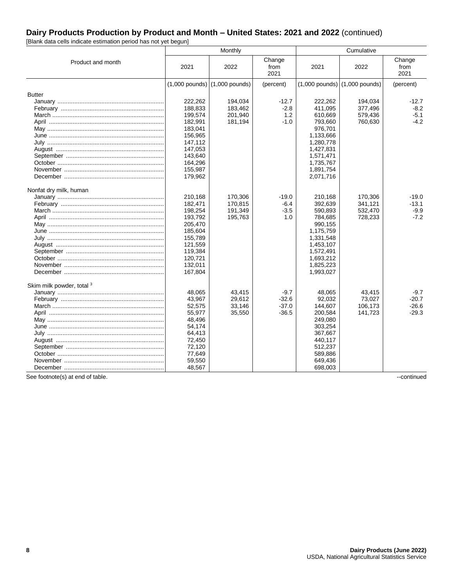[Blank data cells indicate estimation period has not yet begun]

|                           | Cumulative<br>Monthly                                                                                                            |                                          |                                         |                                                                                                                                                |                                          |                                         |
|---------------------------|----------------------------------------------------------------------------------------------------------------------------------|------------------------------------------|-----------------------------------------|------------------------------------------------------------------------------------------------------------------------------------------------|------------------------------------------|-----------------------------------------|
| Product and month         | 2021                                                                                                                             | 2022                                     | Change<br>from<br>2021                  | 2021                                                                                                                                           | 2022                                     | Change<br>from<br>2021                  |
|                           |                                                                                                                                  | $(1,000$ pounds) $(1,000$ pounds)        | (percent)                               | $(1,000$ pounds) $(1,000$ pounds)                                                                                                              |                                          | (percent)                               |
| <b>Butter</b>             | 222.262<br>188,833<br>199,574<br>182,991<br>183,041<br>156,965                                                                   | 194.034<br>183,462<br>201,940<br>181,194 | $-12.7$<br>$-2.8$<br>1.2<br>$-1.0$      | 222.262<br>411,095<br>610,669<br>793,660<br>976,701<br>1,133,666                                                                               | 194.034<br>377,496<br>579,436<br>760,630 | $-12.7$<br>$-8.2$<br>$-5.1$<br>$-4.2$   |
|                           | 147,112<br>147,053<br>143,640<br>164,296<br>155,987<br>179,962                                                                   |                                          |                                         | 1,280,778<br>1,427,831<br>1,571,471<br>1,735,767<br>1,891,754<br>2,071,716                                                                     |                                          |                                         |
| Nonfat dry milk, human    | 210,168<br>182,471<br>198,254<br>193,792<br>205,470<br>185,604<br>155,789<br>121,559<br>119,384<br>120,721<br>132,011<br>167,804 | 170.306<br>170,815<br>191,349<br>195,763 | $-19.0$<br>$-6.4$<br>$-3.5$<br>1.0      | 210,168<br>392,639<br>590,893<br>784,685<br>990,155<br>1,175,759<br>1,331,548<br>1,453,107<br>1,572,491<br>1,693,212<br>1,825,223<br>1,993,027 | 170.306<br>341,121<br>532,470<br>728,233 | $-19.0$<br>$-13.1$<br>-9.9<br>$-7.2$    |
| Skim milk powder, total 3 | 48,065<br>43,967<br>52,575<br>55,977<br>48,496<br>54,174<br>64,413<br>72,450<br>72.120<br>77,649<br>59,550<br>48,567             | 43,415<br>29.612<br>33,146<br>35,550     | $-9.7$<br>$-32.6$<br>$-37.0$<br>$-36.5$ | 48,065<br>92,032<br>144,607<br>200,584<br>249,080<br>303,254<br>367,667<br>440,117<br>512,237<br>589,886<br>649,436<br>698,003                 | 43,415<br>73.027<br>106,173<br>141,723   | $-9.7$<br>$-20.7$<br>$-26.6$<br>$-29.3$ |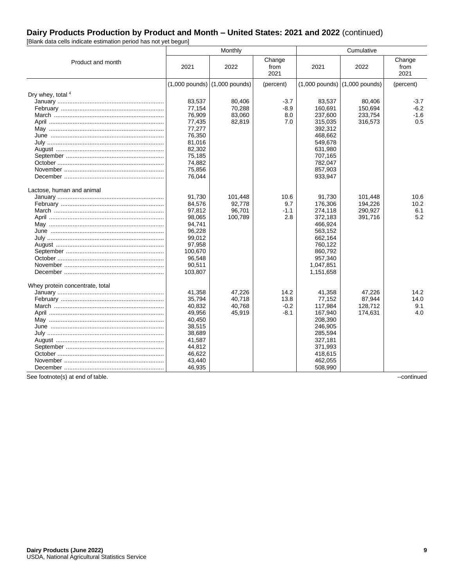[Blank data cells indicate estimation period has not yet begun]

|                                 |                  | Monthly<br>Cumulative             |                        |                                   |         |                        |
|---------------------------------|------------------|-----------------------------------|------------------------|-----------------------------------|---------|------------------------|
| Product and month               | 2021             | 2022                              | Change<br>from<br>2021 | 2021                              | 2022    | Change<br>from<br>2021 |
|                                 |                  | $(1,000$ pounds) $(1,000$ pounds) | (percent)              | $(1,000$ pounds) $(1,000$ pounds) |         | (percent)              |
| Dry whey, total 4               |                  |                                   |                        |                                   |         |                        |
|                                 | 83,537           | 80,406                            | $-3.7$                 | 83,537                            | 80,406  | $-3.7$                 |
|                                 | 77,154           | 70,288                            | $-8.9$                 | 160,691                           | 150,694 | $-6.2$                 |
|                                 | 76,909           | 83,060                            | 8.0                    | 237,600                           | 233,754 | $-1.6$                 |
|                                 | 77,435           | 82,819                            | 7.0                    | 315,035                           | 316,573 | 0.5                    |
|                                 | 77,277           |                                   |                        | 392,312                           |         |                        |
|                                 | 76,350           |                                   |                        | 468,662                           |         |                        |
| July ……………………………………………………………    | 81,016<br>82,302 |                                   |                        | 549,678<br>631,980                |         |                        |
|                                 | 75,185           |                                   |                        | 707,165                           |         |                        |
|                                 | 74,882           |                                   |                        | 782,047                           |         |                        |
|                                 | 75,856           |                                   |                        | 857,903                           |         |                        |
|                                 | 76.044           |                                   |                        | 933,947                           |         |                        |
| Lactose, human and animal       |                  |                                   |                        |                                   |         |                        |
|                                 | 91,730           | 101,448                           | 10.6                   | 91,730                            | 101,448 | 10.6                   |
|                                 | 84,576           | 92,778                            | 9.7                    | 176,306                           | 194,226 | 10.2                   |
|                                 | 97,812           | 96,701                            | $-1.1$                 | 274,118                           | 290,927 | 6.1                    |
|                                 | 98.065           | 100,789                           | 2.8                    | 372,183                           | 391,716 | 5.2                    |
|                                 | 94,741           |                                   |                        | 466,924                           |         |                        |
|                                 | 96,228           |                                   |                        | 563,152                           |         |                        |
| July ……………………………………………………………    | 99,012           |                                   |                        | 662,164                           |         |                        |
|                                 | 97,958           |                                   |                        | 760,122                           |         |                        |
|                                 | 100,670          |                                   |                        | 860,792                           |         |                        |
|                                 | 96,548           |                                   |                        | 957,340                           |         |                        |
|                                 | 90,511           |                                   |                        | 1,047,851                         |         |                        |
|                                 | 103,807          |                                   |                        | 1,151,658                         |         |                        |
| Whey protein concentrate, total |                  |                                   |                        |                                   |         |                        |
|                                 | 41,358           | 47,226                            | 14.2                   | 41,358                            | 47,226  | 14.2                   |
|                                 | 35,794           | 40.718                            | 13.8                   | 77,152                            | 87,944  | 14.0                   |
|                                 | 40,832           | 40,768                            | $-0.2$                 | 117,984                           | 128,712 | 9.1                    |
|                                 | 49,956           | 45,919                            | $-8.1$                 | 167,940                           | 174,631 | 4.0                    |
|                                 | 40,450           |                                   |                        | 208,390                           |         |                        |
|                                 | 38,515           |                                   |                        | 246,905                           |         |                        |
| July ……………………………………………………………    | 38,689           |                                   |                        | 285,594                           |         |                        |
|                                 | 41,587           |                                   |                        | 327,181                           |         |                        |
|                                 | 44,812           |                                   |                        | 371,993                           |         |                        |
|                                 | 46,622           |                                   |                        | 418,615                           |         |                        |
|                                 | 43,440           |                                   |                        | 462,055                           |         |                        |
|                                 | 46,935           |                                   |                        | 508,990                           |         |                        |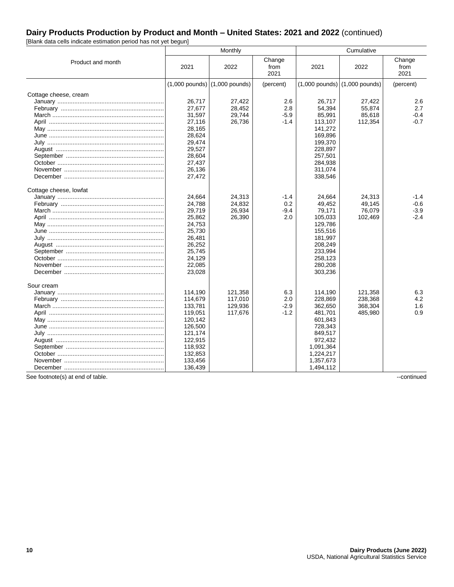[Blank data cells indicate estimation period has not yet begun]

|                              |                    | Monthly                           |                        |                                   |         |                        |
|------------------------------|--------------------|-----------------------------------|------------------------|-----------------------------------|---------|------------------------|
| Product and month            | 2021               | 2022                              | Change<br>from<br>2021 | 2021                              | 2022    | Change<br>from<br>2021 |
|                              |                    | $(1,000$ pounds) $(1,000$ pounds) | (percent)              | $(1,000$ pounds) $(1,000$ pounds) |         | (percent)              |
| Cottage cheese, cream        |                    |                                   |                        |                                   |         |                        |
|                              | 26,717             | 27,422                            | 2.6                    | 26,717                            | 27,422  | 2.6                    |
|                              | 27,677             | 28,452                            | 2.8                    | 54,394                            | 55.874  | 2.7                    |
|                              | 31,597             | 29,744                            | $-5.9$                 | 85,991                            | 85,618  | $-0.4$                 |
|                              | 27,116             | 26,736                            | $-1.4$                 | 113,107                           | 112,354 | $-0.7$                 |
|                              | 28,165<br>28,624   |                                   |                        | 141,272<br>169,896                |         |                        |
|                              | 29,474             |                                   |                        | 199,370                           |         |                        |
|                              | 29,527             |                                   |                        | 228,897                           |         |                        |
|                              | 28,604             |                                   |                        | 257,501                           |         |                        |
|                              | 27,437             |                                   |                        | 284,938                           |         |                        |
|                              | 26,136             |                                   |                        | 311,074                           |         |                        |
|                              | 27,472             |                                   |                        | 338,546                           |         |                        |
| Cottage cheese, lowfat       |                    |                                   |                        |                                   |         |                        |
|                              | 24,664             | 24,313                            | $-1.4$                 | 24,664                            | 24,313  | -1.4                   |
|                              | 24,788             | 24,832                            | 0.2                    | 49,452                            | 49,145  | $-0.6$                 |
|                              | 29,719             | 26,934                            | $-9.4$                 | 79,171                            | 76,079  | $-3.9$                 |
|                              | 25,862             | 26,390                            | 2.0                    | 105,033                           | 102,469 | $-2.4$                 |
|                              | 24,753             |                                   |                        | 129,786                           |         |                        |
|                              | 25,730<br>26,481   |                                   |                        | 155,516<br>181,997                |         |                        |
|                              | 26,252             |                                   |                        | 208.249                           |         |                        |
|                              | 25,745             |                                   |                        | 233,994                           |         |                        |
|                              | 24,129             |                                   |                        | 258,123                           |         |                        |
|                              | 22,085             |                                   |                        | 280,208                           |         |                        |
|                              | 23,028             |                                   |                        | 303,236                           |         |                        |
| Sour cream                   |                    |                                   |                        |                                   |         |                        |
|                              | 114,190            | 121,358                           | 6.3                    | 114,190                           | 121,358 | 6.3                    |
|                              | 114,679            | 117,010                           | 2.0                    | 228,869                           | 238,368 | 4.2                    |
|                              | 133,781            | 129,936                           | $-2.9$                 | 362,650                           | 368,304 | 1.6                    |
|                              | 119,051            | 117,676                           | $-1.2$                 | 481,701                           | 485,980 | 0.9                    |
|                              | 120,142            |                                   |                        | 601,843                           |         |                        |
|                              | 126,500            |                                   |                        | 728,343                           |         |                        |
| July …………………………………………………………… | 121,174            |                                   |                        | 849,517                           |         |                        |
|                              | 122,915            |                                   |                        | 972,432                           |         |                        |
|                              | 118,932<br>132,853 |                                   |                        | 1,091,364<br>1,224,217            |         |                        |
|                              | 133,456            |                                   |                        | 1,357,673                         |         |                        |
|                              | 136,439            |                                   |                        | 1,494,112                         |         |                        |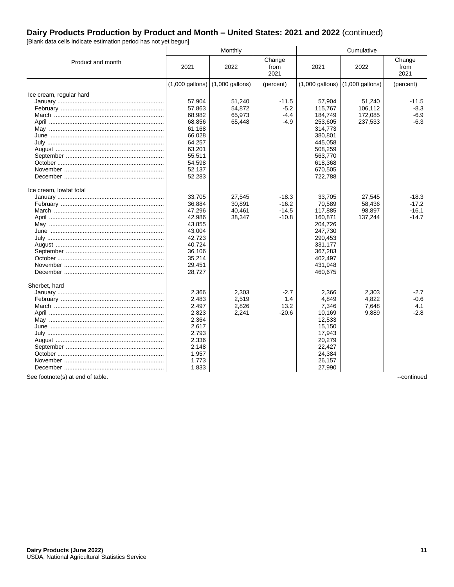[Blank data cells indicate estimation period has not yet begun]

|                         |                   | Monthly           |                        |                                     | Cumulative |                        |  |
|-------------------------|-------------------|-------------------|------------------------|-------------------------------------|------------|------------------------|--|
| Product and month       | 2021              | 2022              | Change<br>from<br>2021 | 2021                                | 2022       | Change<br>from<br>2021 |  |
|                         | $(1,000$ gallons) | $(1,000$ gallons) | (percent)              | $(1,000$ gallons) $(1,000$ gallons) |            | (percent)              |  |
| Ice cream, regular hard |                   |                   |                        |                                     |            |                        |  |
|                         | 57,904            | 51,240            | $-11.5$                | 57,904                              | 51,240     | $-11.5$                |  |
|                         | 57,863            | 54,872            | $-5.2$                 | 115,767                             | 106,112    | $-8.3$                 |  |
|                         | 68,982            | 65,973            | $-4.4$                 | 184,749                             | 172,085    | $-6.9$                 |  |
|                         | 68,856            | 65,448            | $-4.9$                 | 253.605                             | 237,533    | $-6.3$                 |  |
|                         | 61,168            |                   |                        | 314,773                             |            |                        |  |
|                         | 66,028            |                   |                        | 380,801                             |            |                        |  |
|                         | 64,257            |                   |                        | 445,058                             |            |                        |  |
|                         | 63,201            |                   |                        | 508,259                             |            |                        |  |
|                         | 55,511            |                   |                        | 563,770                             |            |                        |  |
|                         | 54,598            |                   |                        | 618,368                             |            |                        |  |
|                         | 52,137            |                   |                        | 670,505                             |            |                        |  |
|                         | 52,283            |                   |                        | 722,788                             |            |                        |  |
| Ice cream, lowfat total |                   |                   |                        |                                     |            |                        |  |
|                         | 33,705            | 27,545            | $-18.3$                | 33,705                              | 27,545     | $-18.3$                |  |
|                         | 36,884            | 30,891            | $-16.2$                | 70,589                              | 58,436     | $-17.2$                |  |
|                         | 47,296            | 40,461            | $-14.5$                | 117,885                             | 98,897     | $-16.1$                |  |
|                         | 42,986            | 38,347            | $-10.8$                | 160,871                             | 137,244    | $-14.7$                |  |
|                         | 43,855            |                   |                        | 204,726                             |            |                        |  |
|                         | 43,004            |                   |                        | 247,730                             |            |                        |  |
|                         | 42,723            |                   |                        | 290,453                             |            |                        |  |
|                         | 40,724            |                   |                        | 331,177                             |            |                        |  |
|                         | 36,106            |                   |                        | 367,283                             |            |                        |  |
|                         | 35,214            |                   |                        | 402,497                             |            |                        |  |
|                         | 29,451            |                   |                        | 431,948                             |            |                        |  |
|                         | 28,727            |                   |                        | 460,675                             |            |                        |  |
| Sherbet, hard           |                   |                   |                        |                                     |            |                        |  |
|                         | 2,366             | 2.303             | $-2.7$                 | 2,366                               | 2.303      | $-2.7$                 |  |
|                         | 2,483             | 2,519             | 1.4                    | 4,849                               | 4,822      | $-0.6$                 |  |
|                         | 2,497             | 2,826             | 13.2                   | 7,346                               | 7.648      | 4.1                    |  |
|                         | 2,823             | 2,241             | $-20.6$                | 10,169                              | 9,889      | $-2.8$                 |  |
|                         | 2,364             |                   |                        | 12,533                              |            |                        |  |
|                         | 2,617             |                   |                        | 15,150                              |            |                        |  |
|                         | 2,793             |                   |                        | 17,943                              |            |                        |  |
|                         | 2,336             |                   |                        | 20,279                              |            |                        |  |
|                         | 2,148             |                   |                        | 22,427                              |            |                        |  |
|                         | 1,957             |                   |                        | 24,384                              |            |                        |  |
|                         | 1,773             |                   |                        | 26,157                              |            |                        |  |
|                         | 1,833             |                   |                        | 27,990                              |            |                        |  |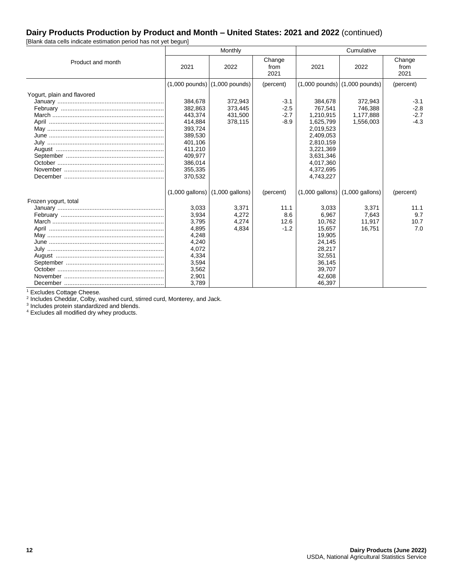[Blank data cells indicate estimation period has not yet begun]

|                              |         | Monthly                                             |                        |                                     | Cumulative |                        |  |
|------------------------------|---------|-----------------------------------------------------|------------------------|-------------------------------------|------------|------------------------|--|
| Product and month            | 2021    | 2022                                                | Change<br>from<br>2021 | 2021                                | 2022       | Change<br>from<br>2021 |  |
|                              |         | $(1,000$ pounds) $(1,000$ pounds)                   | (percent)              | $(1,000$ pounds) $(1,000$ pounds)   |            | (percent)              |  |
| Yogurt, plain and flavored   |         |                                                     |                        |                                     |            |                        |  |
|                              | 384.678 | 372.943                                             | $-3.1$                 | 384.678                             | 372.943    | $-3.1$                 |  |
|                              | 382,863 | 373,445                                             | $-2.5$                 | 767.541                             | 746.388    | $-2.8$                 |  |
|                              | 443,374 | 431,500                                             | $-2.7$                 | 1,210,915                           | 1,177,888  | $-2.7$                 |  |
|                              | 414,884 | 378,115                                             | $-8.9$                 | 1,625,799                           | 1,556,003  | $-4.3$                 |  |
|                              | 393,724 |                                                     |                        | 2,019,523                           |            |                        |  |
|                              | 389,530 |                                                     |                        | 2,409,053                           |            |                        |  |
|                              | 401,106 |                                                     |                        | 2,810,159                           |            |                        |  |
|                              | 411,210 |                                                     |                        | 3,221,369                           |            |                        |  |
|                              | 409,977 |                                                     |                        | 3,631,346                           |            |                        |  |
|                              | 386,014 |                                                     |                        | 4,017,360                           |            |                        |  |
|                              | 355,335 |                                                     |                        | 4,372,695                           |            |                        |  |
|                              | 370,532 |                                                     |                        | 4,743,227                           |            |                        |  |
|                              |         | $(1,000 \text{ gallons})$ $(1,000 \text{ gallons})$ | (percent)              | $(1,000$ gallons) $(1,000$ gallons) |            | (percent)              |  |
| Frozen yogurt, total         |         |                                                     |                        |                                     |            |                        |  |
|                              | 3,033   | 3.371                                               | 11.1                   | 3.033                               | 3.371      | 11.1                   |  |
|                              | 3,934   | 4,272                                               | 8.6                    | 6,967                               | 7,643      | 9.7                    |  |
|                              | 3,795   | 4,274                                               | 12.6                   | 10,762                              | 11,917     | 10.7                   |  |
|                              | 4,895   | 4,834                                               | $-1.2$                 | 15,657                              | 16,751     | 7.0                    |  |
|                              | 4,248   |                                                     |                        | 19,905                              |            |                        |  |
|                              | 4,240   |                                                     |                        | 24,145                              |            |                        |  |
| July …………………………………………………………… | 4,072   |                                                     |                        | 28,217                              |            |                        |  |
|                              | 4,334   |                                                     |                        | 32,551                              |            |                        |  |
|                              | 3,594   |                                                     |                        | 36,145                              |            |                        |  |
|                              | 3,562   |                                                     |                        | 39,707                              |            |                        |  |
|                              | 2,901   |                                                     |                        | 42,608                              |            |                        |  |
|                              | 3,789   |                                                     |                        | 46,397                              |            |                        |  |

<sup>1</sup> Excludes Cottage Cheese.<br><sup>2</sup> Includes Cheddar, Colby, washed curd, stirred curd, Monterey, and Jack.<br><sup>3</sup> Includes protein standardized and blends.

<sup>4</sup> Excludes all modified dry whey products.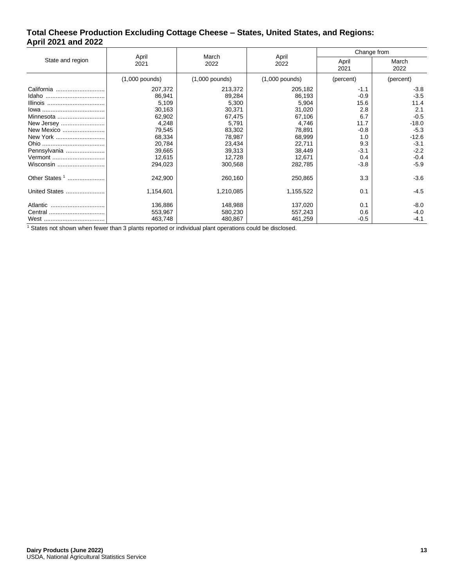#### **Total Cheese Production Excluding Cottage Cheese – States, United States, and Regions: April 2021 and 2022**

|                  |                  | March            |                  | Change from   |               |  |
|------------------|------------------|------------------|------------------|---------------|---------------|--|
| State and region | April<br>2021    | 2022             | April<br>2022    | April<br>2021 | March<br>2022 |  |
|                  | $(1,000$ pounds) | $(1,000$ pounds) | $(1,000$ pounds) | (percent)     | (percent)     |  |
| California       | 207,372          | 213,372          | 205,182          | $-1.1$        | $-3.8$        |  |
|                  | 86,941           | 89,284           | 86,193           | $-0.9$        | $-3.5$        |  |
| Illinois         | 5,109            | 5,300            | 5,904            | 15.6          | 11.4          |  |
|                  | 30,163           | 30,371           | 31,020           | 2.8           | 2.1           |  |
| Minnesota        | 62,902           | 67,475           | 67,106           | 6.7           | $-0.5$        |  |
| New Jersey       | 4,248            | 5,791            | 4,746            | 11.7          | $-18.0$       |  |
| New Mexico       | 79,545           | 83,302           | 78,891           | $-0.8$        | $-5.3$        |  |
| New York         | 68,334           | 78,987           | 68,999           | 1.0           | $-12.6$       |  |
|                  | 20,784           | 23,434           | 22,711           | 9.3           | $-3.1$        |  |
| Pennsylvania     | 39,665           | 39,313           | 38,449           | $-3.1$        | $-2.2$        |  |
| Vermont          | 12,615           | 12,728           | 12,671           | 0.4           | $-0.4$        |  |
| Wisconsin        | 294,023          | 300,568          | 282,785          | $-3.8$        | $-5.9$        |  |
| Other States $1$ | 242,900          | 260,160          | 250,865          | 3.3           | $-3.6$        |  |
| United States    | 1,154,601        | 1,210,085        | 1,155,522        | 0.1           | $-4.5$        |  |
| Atlantic         | 136,886          | 148,988          | 137,020          | 0.1           | $-8.0$        |  |
|                  | 553,967          | 580,230          | 557,243          | 0.6           | $-4.0$        |  |
|                  | 463,748          | 480,867          | 461,259          | $-0.5$        | $-4.1$        |  |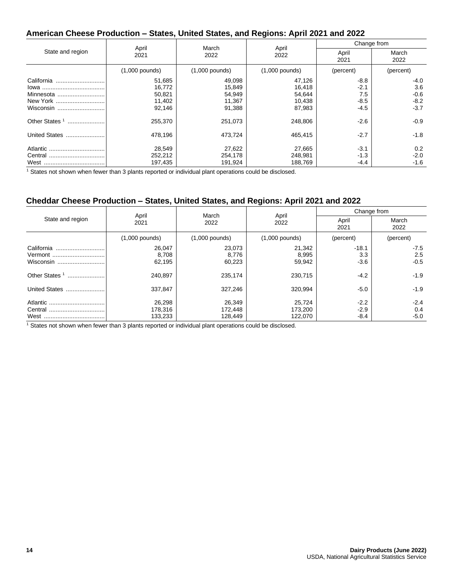# **American Cheese Production – States, United States, and Regions: April 2021 and 2022**

|                           |                  |                  | April<br>2022    | Change from   |               |
|---------------------------|------------------|------------------|------------------|---------------|---------------|
| State and region          | April<br>2021    | March<br>2022    |                  | April<br>2021 | March<br>2022 |
|                           | $(1,000$ pounds) | $(1,000$ pounds) | $(1,000$ pounds) | (percent)     | (percent)     |
| California                | 51,685           | 49,098           | 47,126           | $-8.8$        | $-4.0$        |
|                           | 16,772           | 15,849           | 16,418           | $-2.1$        | 3.6           |
| Minnesota                 | 50,821           | 54,949           | 54,644           | 7.5           | $-0.6$        |
| New York                  | 11,402           | 11,367           | 10,438           | $-8.5$        | $-8.2$        |
| Wisconsin                 | 92,146           | 91,388           | 87,983           | $-4.5$        | $-3.7$        |
| Other States <sup>1</sup> | 255,370          | 251,073          | 248,806          | $-2.6$        | $-0.9$        |
| United States             | 478.196          | 473,724          | 465.415          | $-2.7$        | $-1.8$        |
|                           | 28,549           | 27,622           | 27,665           | $-3.1$        | 0.2           |
|                           | 252,212          | 254,178          | 248,981          | $-1.3$        | $-2.0$        |
|                           | 197,435          | 191,924          | 188.769          | $-4.4$        | $-1.6$        |

<sup>1</sup> States not shown when fewer than 3 plants reported or individual plant operations could be disclosed.

#### **Cheddar Cheese Production – States, United States, and Regions: April 2021 and 2022**

| State and region                   |                              | March<br>2022                | April<br>2022                | Change from                |                         |
|------------------------------------|------------------------------|------------------------------|------------------------------|----------------------------|-------------------------|
|                                    | April<br>2021                |                              |                              | April<br>2021              | March<br>2022           |
|                                    | $(1,000$ pounds)             | $(1,000$ pounds)             | $(1,000$ pounds)             | (percent)                  | (percent)               |
| California<br>Vermont<br>Wisconsin | 26,047<br>8,708<br>62,195    | 23,073<br>8,776<br>60,223    | 21,342<br>8,995<br>59,942    | $-18.1$<br>3.3<br>$-3.6$   | $-7.5$<br>2.5<br>$-0.5$ |
| Other States <sup>1</sup>          | 240.897                      | 235,174                      | 230,715                      | $-4.2$                     | $-1.9$                  |
| United States                      | 337,847                      | 327,246                      | 320,994                      | $-5.0$                     | $-1.9$                  |
|                                    | 26.298<br>178,316<br>133,233 | 26,349<br>172,448<br>128,449 | 25.724<br>173.200<br>122,070 | $-2.2$<br>$-2.9$<br>$-8.4$ | $-2.4$<br>0.4<br>$-5.0$ |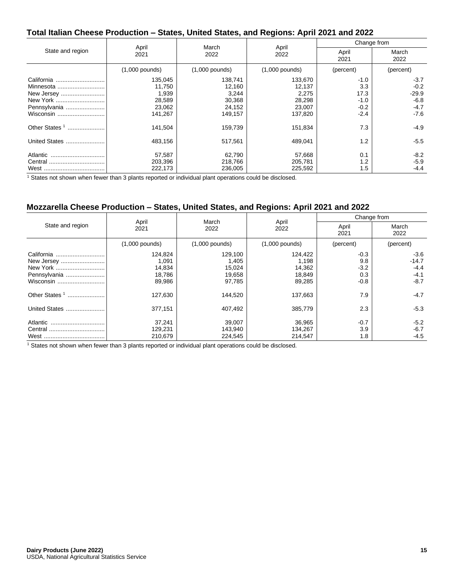## **Total Italian Cheese Production – States, United States, and Regions: April 2021 and 2022**

|                           |                  | March            |                  | Change from   |               |
|---------------------------|------------------|------------------|------------------|---------------|---------------|
| State and region          | April<br>2021    | 2022             | April<br>2022    | April<br>2021 | March<br>2022 |
|                           | $(1,000$ pounds) | $(1,000$ pounds) | $(1,000$ pounds) | (percent)     | (percent)     |
| California                | 135,045          | 138,741          | 133,670          | $-1.0$        | $-3.7$        |
|                           | 11,750           | 12,160           | 12,137           | 3.3           | $-0.2$        |
| New Jersey                | 1,939            | 3,244            | 2,275            | 17.3          | $-29.9$       |
| New York                  | 28,589           | 30,368           | 28,298           | $-1.0$        | $-6.8$        |
| Pennsylvania              | 23,062           | 24,152           | 23,007           | $-0.2$        | $-4.7$        |
| Wisconsin                 | 141,267          | 149,157          | 137,820          | $-2.4$        | $-7.6$        |
| Other States <sup>1</sup> | 141,504          | 159,739          | 151,834          | 7.3           | $-4.9$        |
| United States             | 483,156          | 517,561          | 489,041          | 1.2           | $-5.5$        |
| Atlantic                  | 57,587           | 62,790           | 57,668           | 0.1           | $-8.2$        |
|                           | 203,396          | 218,766          | 205,781          | 1.2           | $-5.9$        |
|                           | 222,173          | 236,005          | 225,592          | 1.5           | $-4.4$        |

<sup>1</sup> States not shown when fewer than 3 plants reported or individual plant operations could be disclosed.

## **Mozzarella Cheese Production – States, United States, and Regions: April 2021 and 2022**

|                           |                  | March            | April<br>2022    | Change from   |               |
|---------------------------|------------------|------------------|------------------|---------------|---------------|
| State and region          | April<br>2021    | 2022             |                  | April<br>2021 | March<br>2022 |
|                           | $(1,000$ pounds) | $(1,000$ pounds) | $(1,000$ pounds) | (percent)     | (percent)     |
| California                | 124,824          | 129,100          | 124,422          | $-0.3$        | $-3.6$        |
|                           | 1,091            | 1,405            | 1,198            | 9.8           | $-14.7$       |
| New York                  | 14,834           | 15,024           | 14,362           | $-3.2$        | $-4.4$        |
| Pennsylvania              | 18,786           | 19,658           | 18,849           | 0.3           | $-4.1$        |
|                           | 89,986           | 97,785           | 89,285           | $-0.8$        | $-8.7$        |
| Other States <sup>1</sup> | 127,630          | 144,520          | 137,663          | 7.9           | $-4.7$        |
| United States             | 377,151          | 407,492          | 385,779          | 2.3           | $-5.3$        |
| Atlantic                  | 37.241           | 39,007           | 36.965           | $-0.7$        | $-5.2$        |
| Central                   | 129,231          | 143,940          | 134,267          | 3.9           | $-6.7$        |
|                           | 210,679          | 224,545          | 214,547          | 1.8           | $-4.5$        |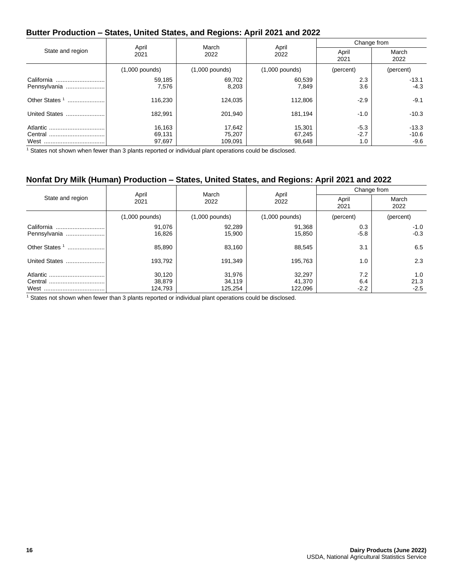## **Butter Production – States, United States, and Regions: April 2021 and 2022**

|                            | April            | March<br>2022    | April<br>2022    | Change from      |                    |
|----------------------------|------------------|------------------|------------------|------------------|--------------------|
| State and region           | 2021             |                  |                  | April<br>2021    | March<br>2022      |
|                            | $(1,000$ pounds) | $(1,000$ pounds) | $(1,000$ pounds) | (percent)        | (percent)          |
| California<br>Pennsylvania | 59,185<br>7,576  | 69,702<br>8,203  | 60,539<br>7,849  | 2.3<br>3.6       | $-13.1$<br>$-4.3$  |
| Other States <sup>1</sup>  | 116.230          | 124,035          | 112,806          | $-2.9$           | $-9.1$             |
| United States              | 182.991          | 201,940          | 181,194          | $-1.0$           | $-10.3$            |
|                            | 16,163<br>69,131 | 17,642<br>75,207 | 15,301<br>67,245 | $-5.3$<br>$-2.7$ | $-13.3$<br>$-10.6$ |
|                            | 97,697           | 109.091          | 98.648           | 1.0              | -9.6               |

<sup>1</sup> States not shown when fewer than 3 plants reported or individual plant operations could be disclosed.

## **Nonfat Dry Milk (Human) Production – States, United States, and Regions: April 2021 and 2022**

|                  | March<br>2022    | April<br>2022    | Change from   |                       |
|------------------|------------------|------------------|---------------|-----------------------|
| 2021             |                  |                  | April<br>2021 | March<br>2022         |
| $(1,000$ pounds) | $(1,000$ pounds) | $(1,000$ pounds) | (percent)     | (percent)             |
| 91,076<br>16,826 | 92,289<br>15,900 | 91,368<br>15,850 | 0.3<br>$-5.8$ | $-1.0$<br>$-0.3$      |
| 85,890           | 83,160           | 88,545           | 3.1           | 6.5                   |
| 193,792          | 191,349          | 195,763          | 1.0           | 2.3                   |
| 30,120<br>38,879 | 31,976<br>34,119 | 32,297<br>41,370 | 7.2<br>6.4    | 1.0<br>21.3<br>$-2.5$ |
|                  | April<br>124,793 | 125,254          | 122,096       | $-2.2$                |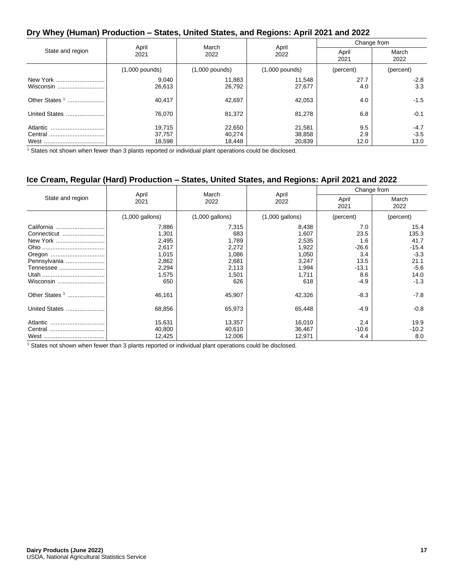#### **Dry Whey (Human) Production – States, United States, and Regions: April 2021 and 2022**

| State and region          |                            | March<br>2022              | April<br>2022              | Change from        |                          |
|---------------------------|----------------------------|----------------------------|----------------------------|--------------------|--------------------------|
|                           | April<br>2021              |                            |                            | April<br>2021      | March<br>2022            |
|                           | $(1,000$ pounds)           | $(1,000$ pounds)           | $(1,000$ pounds)           | (percent)          | (percent)                |
| New York<br>Wisconsin     | 9,040<br>26,613            | 11,883<br>26,792           | 11,548<br>27,677           | 27.7<br>4.0        | $-2.8$<br>3.3            |
| Other States <sup>1</sup> | 40,417                     | 42,697                     | 42,053                     | 4.0                | $-1.5$                   |
| United States             | 76.070                     | 81,372                     | 81,278                     | 6.8                | $-0.1$                   |
| Atlantic                  | 19.715<br>37,757<br>18,598 | 22,650<br>40,274<br>18,448 | 21,581<br>38,858<br>20,839 | 9.5<br>2.9<br>12.0 | $-4.7$<br>$-3.5$<br>13.0 |

<sup>1</sup> States not shown when fewer than 3 plants reported or individual plant operations could be disclosed.

## **Ice Cream, Regular (Hard) Production – States, United States, and Regions: April 2021 and 2022**

| State and region |                   | March<br>2022     | April<br>2022     | Change from   |               |
|------------------|-------------------|-------------------|-------------------|---------------|---------------|
|                  | April<br>2021     |                   |                   | April<br>2021 | March<br>2022 |
|                  | $(1,000$ gallons) | $(1,000$ gallons) | $(1,000$ gallons) | (percent)     | (percent)     |
| California       | 7,886             | 7,315             | 8,438             | 7.0           | 15.4          |
| Connecticut      | 1,301             | 683               | 1,607             | 23.5          | 135.3         |
| New York         | 2,495             | 1,789             | 2,535             | 1.6           | 41.7          |
|                  | 2,617             | 2,272             | 1,922             | $-26.6$       | $-15.4$       |
|                  | 1,015             | 1,086             | 1,050             | 3.4           | $-3.3$        |
| Pennsylvania     | 2,862             | 2,681             | 3,247             | 13.5          | 21.1          |
| Tennessee        | 2,294             | 2,113             | 1,994             | $-13.1$       | $-5.6$        |
|                  | 1,575             | 1,501             | 1,711             | 8.6           | 14.0          |
| Wisconsin        | 650               | 626               | 618               | -4.9          | $-1.3$        |
| Other States $1$ | 46,161            | 45,907            | 42,326            | $-8.3$        | $-7.8$        |
| United States    | 68,856            | 65,973            | 65,448            | -4.9          | $-0.8$        |
| Atlantic         | 15,631            | 13,357            | 16,010            | 2.4           | 19.9          |
|                  | 40,800            | 40,610            | 36,467            | $-10.6$       | $-10.2$       |
|                  | 12,425            | 12,006            | 12,971            | 4.4           | 8.0           |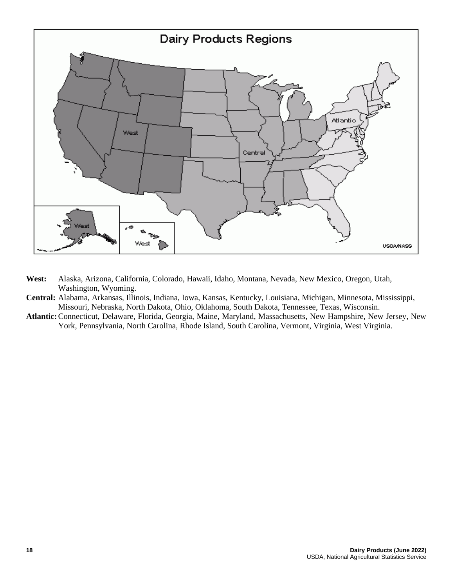

- **West:** Alaska, Arizona, California, Colorado, Hawaii, Idaho, Montana, Nevada, New Mexico, Oregon, Utah, Washington, Wyoming.
- **Central:** Alabama, Arkansas, Illinois, Indiana, Iowa, Kansas, Kentucky, Louisiana, Michigan, Minnesota, Mississippi, Missouri, Nebraska, North Dakota, Ohio, Oklahoma, South Dakota, Tennessee, Texas, Wisconsin.
- **Atlantic:**Connecticut, Delaware, Florida, Georgia, Maine, Maryland, Massachusetts, New Hampshire, New Jersey, New York, Pennsylvania, North Carolina, Rhode Island, South Carolina, Vermont, Virginia, West Virginia.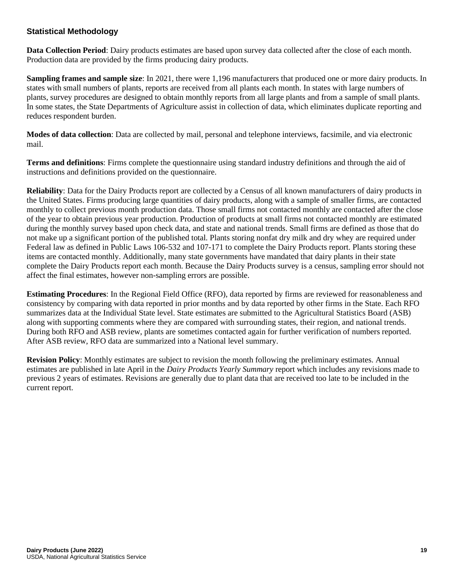#### **Statistical Methodology**

**Data Collection Period**: Dairy products estimates are based upon survey data collected after the close of each month. Production data are provided by the firms producing dairy products.

**Sampling frames and sample size**: In 2021, there were 1,196 manufacturers that produced one or more dairy products. In states with small numbers of plants, reports are received from all plants each month. In states with large numbers of plants, survey procedures are designed to obtain monthly reports from all large plants and from a sample of small plants. In some states, the State Departments of Agriculture assist in collection of data, which eliminates duplicate reporting and reduces respondent burden.

**Modes of data collection**: Data are collected by mail, personal and telephone interviews, facsimile, and via electronic mail.

**Terms and definitions**: Firms complete the questionnaire using standard industry definitions and through the aid of instructions and definitions provided on the questionnaire.

**Reliability**: Data for the Dairy Products report are collected by a Census of all known manufacturers of dairy products in the United States. Firms producing large quantities of dairy products, along with a sample of smaller firms, are contacted monthly to collect previous month production data. Those small firms not contacted monthly are contacted after the close of the year to obtain previous year production. Production of products at small firms not contacted monthly are estimated during the monthly survey based upon check data, and state and national trends. Small firms are defined as those that do not make up a significant portion of the published total. Plants storing nonfat dry milk and dry whey are required under Federal law as defined in Public Laws 106-532 and 107-171 to complete the Dairy Products report. Plants storing these items are contacted monthly. Additionally, many state governments have mandated that dairy plants in their state complete the Dairy Products report each month. Because the Dairy Products survey is a census, sampling error should not affect the final estimates, however non-sampling errors are possible.

**Estimating Procedures**: In the Regional Field Office (RFO), data reported by firms are reviewed for reasonableness and consistency by comparing with data reported in prior months and by data reported by other firms in the State. Each RFO summarizes data at the Individual State level. State estimates are submitted to the Agricultural Statistics Board (ASB) along with supporting comments where they are compared with surrounding states, their region, and national trends. During both RFO and ASB review, plants are sometimes contacted again for further verification of numbers reported. After ASB review, RFO data are summarized into a National level summary.

**Revision Policy**: Monthly estimates are subject to revision the month following the preliminary estimates. Annual estimates are published in late April in the *Dairy Products Yearly Summary* report which includes any revisions made to previous 2 years of estimates. Revisions are generally due to plant data that are received too late to be included in the current report.